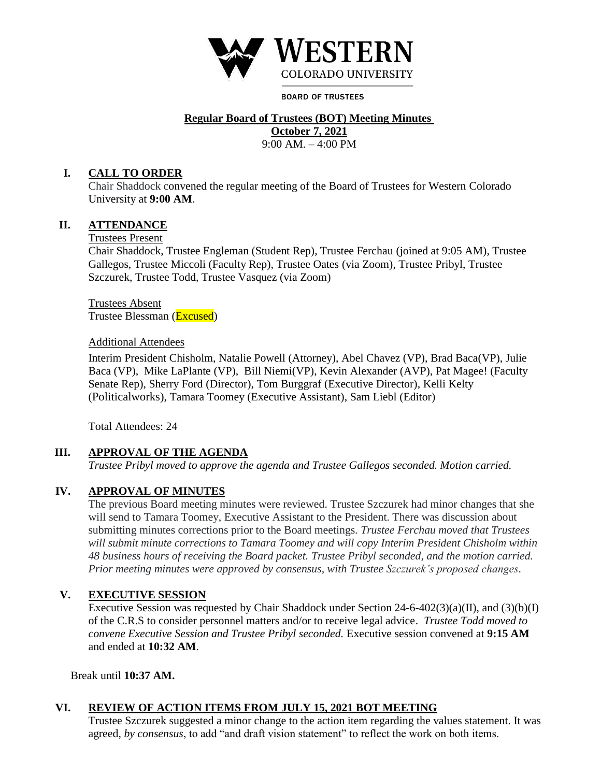

**BOARD OF TRUSTEES** 

# **Regular Board of Trustees (BOT) Meeting Minutes**

**October 7, 2021** 

9:00 AM. – 4:00 PM

#### **I. CALL TO ORDER**

Chair Shaddock convened the regular meeting of the Board of Trustees for Western Colorado University at **9:00 AM**.

## **II. ATTENDANCE**

Trustees Present

Chair Shaddock, Trustee Engleman (Student Rep), Trustee Ferchau (joined at 9:05 AM), Trustee Gallegos, Trustee Miccoli (Faculty Rep), Trustee Oates (via Zoom), Trustee Pribyl, Trustee Szczurek, Trustee Todd, Trustee Vasquez (via Zoom)

Trustees Absent Trustee Blessman (Excused)

#### Additional Attendees

Interim President Chisholm, Natalie Powell (Attorney), Abel Chavez (VP), Brad Baca(VP), Julie Baca (VP), Mike LaPlante (VP), Bill Niemi(VP), Kevin Alexander (AVP), Pat Magee! (Faculty Senate Rep), Sherry Ford (Director), Tom Burggraf (Executive Director), Kelli Kelty (Politicalworks), Tamara Toomey (Executive Assistant), Sam Liebl (Editor)

Total Attendees: 24

# **III. APPROVAL OF THE AGENDA**

*Trustee Pribyl moved to approve the agenda and Trustee Gallegos seconded. Motion carried.* 

# **IV. APPROVAL OF MINUTES**

The previous Board meeting minutes were reviewed. Trustee Szczurek had minor changes that she will send to Tamara Toomey, Executive Assistant to the President. There was discussion about submitting minutes corrections prior to the Board meetings. *Trustee Ferchau moved that Trustees will submit minute corrections to Tamara Toomey and will copy Interim President Chisholm within 48 business hours of receiving the Board packet. Trustee Pribyl seconded, and the motion carried. Prior meeting minutes were approved by consensus, with Trustee Szczurek's proposed changes.* 

# **V. EXECUTIVE SESSION**

Executive Session was requested by Chair Shaddock under Section  $24-6-402(3)(a)(II)$ , and  $(3)(b)(I)$ of the C.R.S to consider personnel matters and/or to receive legal advice. *Trustee Todd moved to convene Executive Session and Trustee Pribyl seconded.* Executive session convened at **9:15 AM**  and ended at **10:32 AM**.

Break until **10:37 AM.** 

# **VI. REVIEW OF ACTION ITEMS FROM JULY 15, 2021 BOT MEETING**

Trustee Szczurek suggested a minor change to the action item regarding the values statement. It was agreed, *by consensus*, to add "and draft vision statement" to reflect the work on both items.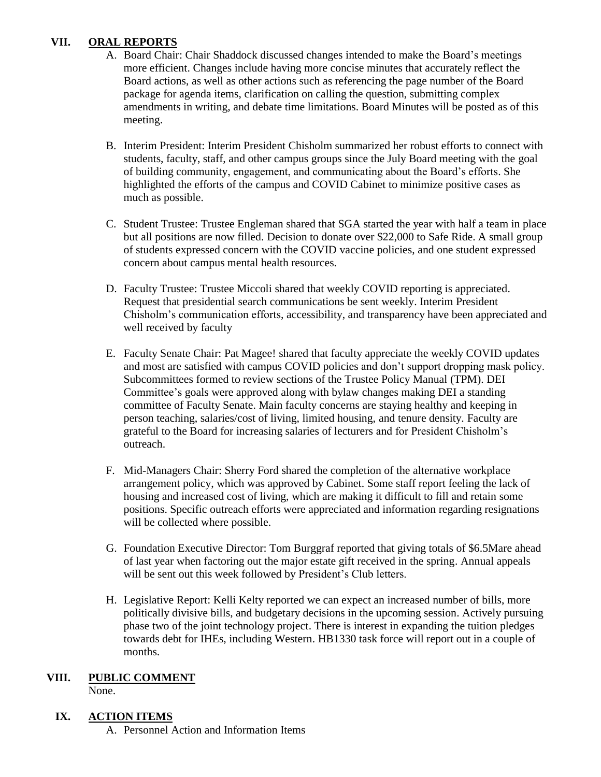# **VII. ORAL REPORTS**

- A. Board Chair: Chair Shaddock discussed changes intended to make the Board's meetings more efficient. Changes include having more concise minutes that accurately reflect the Board actions, as well as other actions such as referencing the page number of the Board package for agenda items, clarification on calling the question, submitting complex amendments in writing, and debate time limitations. Board Minutes will be posted as of this meeting.
- B. Interim President: Interim President Chisholm summarized her robust efforts to connect with students, faculty, staff, and other campus groups since the July Board meeting with the goal of building community, engagement, and communicating about the Board's efforts. She highlighted the efforts of the campus and COVID Cabinet to minimize positive cases as much as possible.
- C. Student Trustee: Trustee Engleman shared that SGA started the year with half a team in place but all positions are now filled. Decision to donate over \$22,000 to Safe Ride. A small group of students expressed concern with the COVID vaccine policies, and one student expressed concern about campus mental health resources.
- D. Faculty Trustee: Trustee Miccoli shared that weekly COVID reporting is appreciated. Request that presidential search communications be sent weekly. Interim President Chisholm's communication efforts, accessibility, and transparency have been appreciated and well received by faculty
- and most are satisfied with campus COVID policies and don't support dropping mask policy. E. Faculty Senate Chair: Pat Magee! shared that faculty appreciate the weekly COVID updates Subcommittees formed to review sections of the Trustee Policy Manual (TPM). DEI Committee's goals were approved along with bylaw changes making DEI a standing committee of Faculty Senate. Main faculty concerns are staying healthy and keeping in person teaching, salaries/cost of living, limited housing, and tenure density. Faculty are grateful to the Board for increasing salaries of lecturers and for President Chisholm's outreach.
- F. Mid-Managers Chair: Sherry Ford shared the completion of the alternative workplace arrangement policy, which was approved by Cabinet. Some staff report feeling the lack of housing and increased cost of living, which are making it difficult to fill and retain some positions. Specific outreach efforts were appreciated and information regarding resignations will be collected where possible.
- G. Foundation Executive Director: Tom Burggraf reported that giving totals of \$6.5Mare ahead of last year when factoring out the major estate gift received in the spring. Annual appeals will be sent out this week followed by President's Club letters.
- H. Legislative Report: Kelli Kelty reported we can expect an increased number of bills, more towards debt for IHEs, including Western. HB1330 task force will report out in a couple of politically divisive bills, and budgetary decisions in the upcoming session. Actively pursuing phase two of the joint technology project. There is interest in expanding the tuition pledges months.

# **VIII. PUBLIC COMMENT**

None.

# **IX. ACTION ITEMS**

A. Personnel Action and Information Items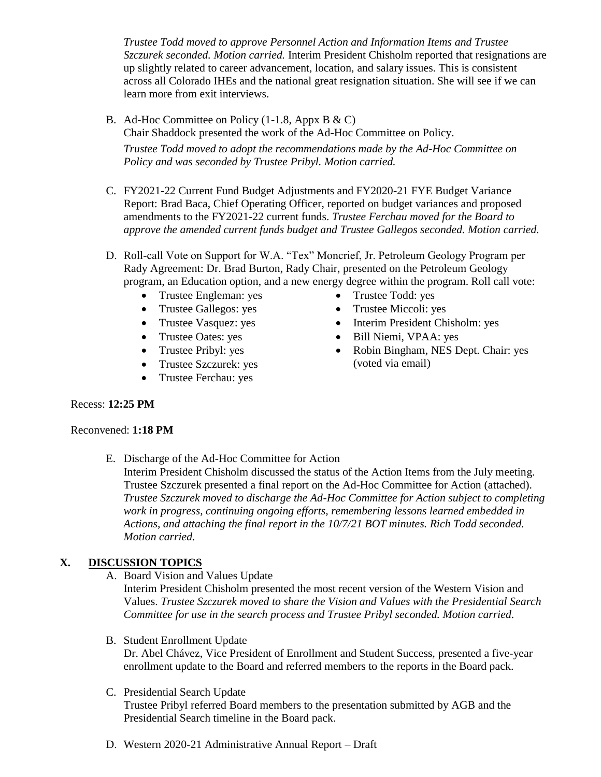*Trustee Todd moved to approve Personnel Action and Information Items and Trustee Szczurek seconded. Motion carried.* Interim President Chisholm reported that resignations are up slightly related to career advancement, location, and salary issues. This is consistent across all Colorado IHEs and the national great resignation situation. She will see if we can learn more from exit interviews.

- B. Ad-Hoc Committee on Policy (1-1.8, Appx B & C) Chair Shaddock presented the work of the Ad-Hoc Committee on Policy. *Trustee Todd moved to adopt the recommendations made by the Ad-Hoc Committee on Policy and was seconded by Trustee Pribyl. Motion carried.*
- C. FY2021-22 Current Fund Budget Adjustments and FY2020-21 FYE Budget Variance Report: Brad Baca, Chief Operating Officer, reported on budget variances and proposed amendments to the FY2021-22 current funds. *Trustee Ferchau moved for the Board to approve the amended current funds budget and Trustee Gallegos seconded. Motion carried.*
- D. Roll-call Vote on Support for W.A. "Tex" Moncrief, Jr. Petroleum Geology Program per Rady Agreement: Dr. Brad Burton, Rady Chair, presented on the Petroleum Geology program, an Education option, and a new energy degree within the program. Roll call vote:
	- Trustee Engleman: yes Trustee Todd: yes
	- Trustee Gallegos: yes Trustee Miccoli: yes
	-
	-
	-
	- Trustee Szczurek: yes (voted via email)
	- Trustee Ferchau: yes
- 
- 
- Trustee Vasquez: yes Interim President Chisholm: yes
- Trustee Oates: yes Bill Niemi, VPAA: yes<br>• Trustee Pribyl: yes Robin Bingham, NES D
	- Robin Bingham, NES Dept. Chair: yes

#### Recess: **12:25 PM**

#### Reconvened: **1:18 PM**

E. Discharge of the Ad-Hoc Committee for Action

Interim President Chisholm discussed the status of the Action Items from the July meeting. Trustee Szczurek presented a final report on the Ad-Hoc Committee for Action (attached). *Trustee Szczurek moved to discharge the Ad-Hoc Committee for Action subject to completing work in progress, continuing ongoing efforts, remembering lessons learned embedded in Actions, and attaching the final report in the 10/7/21 BOT minutes. Rich Todd seconded. Motion carried.* 

# **X. DISCUSSION TOPICS**

A. Board Vision and Values Update

 Values. *Trustee Szczurek moved to share the Vision and Values with the Presidential Search Committee for use in the search process and Trustee Pribyl seconded. Motion carried.*  Interim President Chisholm presented the most recent version of the Western Vision and

B. Student Enrollment Update

Dr. Abel Chávez, Vice President of Enrollment and Student Success, presented a five-year enrollment update to the Board and referred members to the reports in the Board pack.

#### C. Presidential Search Update

Trustee Pribyl referred Board members to the presentation submitted by AGB and the Presidential Search timeline in the Board pack.

D. Western 2020-21 Administrative Annual Report – Draft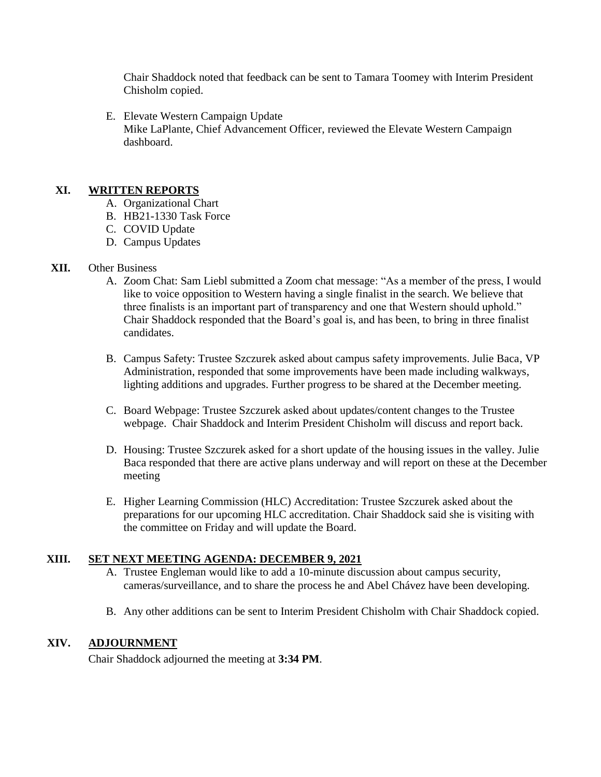Chair Shaddock noted that feedback can be sent to Tamara Toomey with Interim President Chisholm copied.

E. Elevate Western Campaign Update Mike LaPlante, Chief Advancement Officer, reviewed the Elevate Western Campaign dashboard.

## **XI. WRITTEN REPORTS**

- A. Organizational Chart
- B. HB21-1330 Task Force
- C. COVID Update
- D. Campus Updates

#### **XII.** Other Business

- A. Zoom Chat: Sam Liebl submitted a Zoom chat message: "As a member of the press, I would like to voice opposition to Western having a single finalist in the search. We believe that three finalists is an important part of transparency and one that Western should uphold." Chair Shaddock responded that the Board's goal is, and has been, to bring in three finalist candidates.
- B. Campus Safety: Trustee Szczurek asked about campus safety improvements. Julie Baca, VP Administration, responded that some improvements have been made including walkways, lighting additions and upgrades. Further progress to be shared at the December meeting.
- C. Board Webpage: Trustee Szczurek asked about updates/content changes to the Trustee webpage. Chair Shaddock and Interim President Chisholm will discuss and report back.
- Baca responded that there are active plans underway and will report on these at the December D. Housing: Trustee Szczurek asked for a short update of the housing issues in the valley. Julie meeting
- E. Higher Learning Commission (HLC) Accreditation: Trustee Szczurek asked about the preparations for our upcoming HLC accreditation. Chair Shaddock said she is visiting with the committee on Friday and will update the Board.

#### **XIII. SET NEXT MEETING AGENDA: DECEMBER 9, 2021**

- A. Trustee Engleman would like to add a 10-minute discussion about campus security, cameras/surveillance, and to share the process he and Abel Chávez have been developing.
- B. Any other additions can be sent to Interim President Chisholm with Chair Shaddock copied.

#### **XIV. ADJOURNMENT**

Chair Shaddock adjourned the meeting at **3:34 PM**.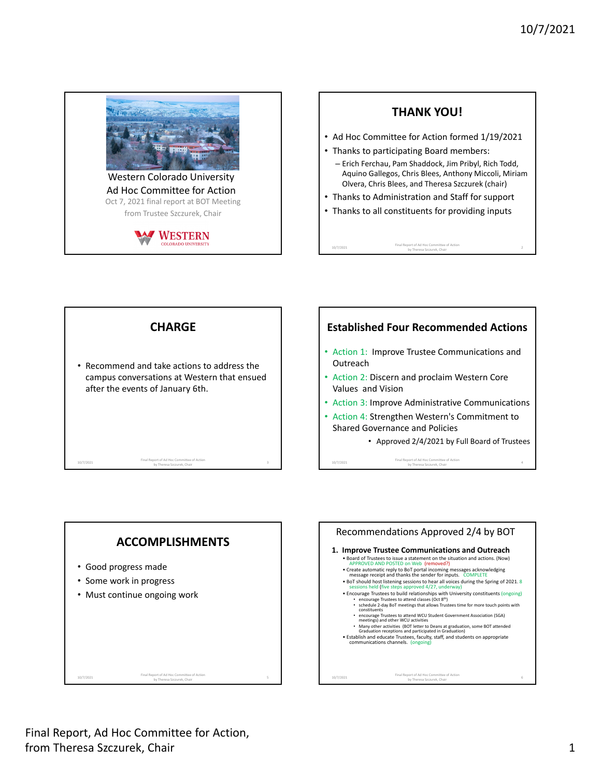

 Western Colorado University Ad Hoc Committee for Action Oct 7, 2021 final report at BOT Meeting from Trustee Szczurek, Chair











 Final Report, Ad Hoc Committee for Action, from Theresa Szczurek, Chair 1